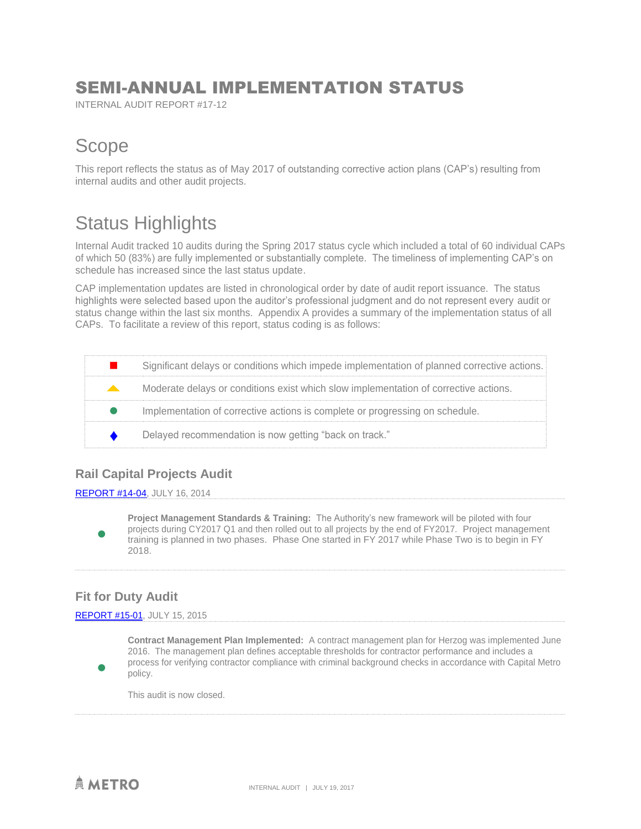## SEMI-ANNUAL IMPLEMENTATION STATUS

INTERNAL AUDIT REPORT #17-12

## **Scope**

This report reflects the status as of May 2017 of outstanding corrective action plans (CAP's) resulting from internal audits and other audit projects.

## Status Highlights

Internal Audit tracked 10 audits during the Spring 2017 status cycle which included a total of 60 individual CAPs of which 50 (83%) are fully implemented or substantially complete. The timeliness of implementing CAP's on schedule has increased since the last status update.

CAP implementation updates are listed in chronological order by date of audit report issuance. The status highlights were selected based upon the auditor's professional judgment and do not represent every audit or status change within the last six months. Appendix A provides a summary of the implementation status of all CAPs. To facilitate a review of this report, status coding is as follows:

|              | Significant delays or conditions which impede implementation of planned corrective actions. |
|--------------|---------------------------------------------------------------------------------------------|
| $\mathbf{A}$ | Moderate delays or conditions exist which slow implementation of corrective actions.        |
|              | Implementation of corrective actions is complete or progressing on schedule.                |
|              | Delayed recommendation is now getting "back on track."                                      |

## **Rail Capital Projects Audit**

### [REPORT #14-04,](http://www.capmetro.org/uploadedFiles/Capmetroorg/About_Us/Finance_and_Audit/Rail%20Capital%20Projects.pdf) JULY 16, 2014

**Project Management Standards & Training:** The Authority's new framework will be piloted with four projects during CY2017 Q1 and then rolled out to all projects by the end of FY2017. Project management training is planned in two phases. Phase One started in FY 2017 while Phase Two is to begin in FY 2018.

## **Fit for Duty Audit**

 $\bullet$ 

 $\bullet$ 

### [REPORT #15-01,](https://capmetro.sharepoint.com/sites/ADT/_layouts/15/DocIdRedir.aspx?ID=ADTD-590348996-1486) JULY 15, 2015

**Contract Management Plan Implemented:** A contract management plan for Herzog was implemented June 2016. The management plan defines acceptable thresholds for contractor performance and includes a process for verifying contractor compliance with criminal background checks in accordance with Capital Metro policy.

This audit is now closed.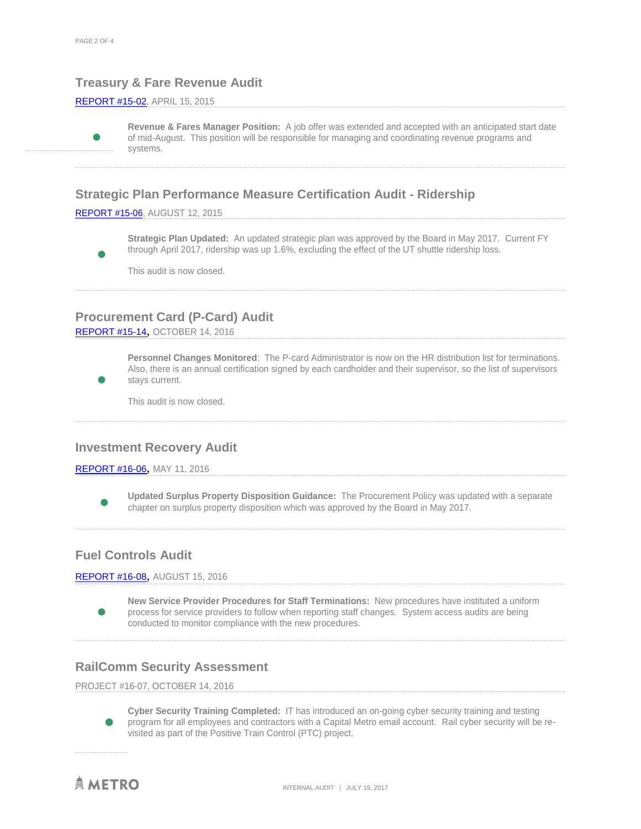## **Treasury & Fare Revenue Audit**

#### [REPORT #15-02,](http://www.capmetro.org/uploadedFiles/Capmetroorg/About_Us/Finance_and_Audit/Treasury%20and%20Fare%20Revenue%20Audit.pdf) APRIL 15, 2015

 $\bullet$ 

 $\bullet$ 

 $\bullet$ 

**Revenue & Fares Manager Position:** A job offer was extended and accepted with an anticipated start date of mid-August. This position will be responsible for managing and coordinating revenue programs and systems.

## **Strategic Plan Performance Measure Certification Audit - Ridership**

[REPORT #15-06,](http://www.capmetro.org/uploadedFiles/Capmetroorg/About_Us/Finance_and_Audit/strategic%20plan%20performance%20measure.docx) AUGUST 12, 2015

**Strategic Plan Updated:** An updated strategic plan was approved by the Board in May 2017. Current FY through April 2017, ridership was up 1.6%, excluding the effect of the UT shuttle ridership loss.

This audit is now closed.

## **Procurement Card (P-Card) Audit**

[REPORT #15-14](https://capmetro.sharepoint.com/sites/ADT/_layouts/15/guestaccess.aspx?guestaccesstoken=VITIO5ADhXPmHzQ53OXv0dMfg32OQnTqTrs2tuRBMZw%3d&docid=2_1a1ad0d6e24694b6b9d8e2d069ff5879d&rev=1), OCTOBER 14, 2016

**Personnel Changes Monitored**: The P-card Administrator is now on the HR distribution list for terminations. Also, there is an annual certification signed by each cardholder and their supervisor, so the list of supervisors stays current.

This audit is now closed.

### **Investment Recovery Audit**

#### [REPORT #16-06](https://capmetro.sharepoint.com/sites/ADT/_layouts/15/guestaccess.aspx?guestaccesstoken=fvuckmv2qn9XCnCTZsLbwP5l6NKGHmPHxQeF0jP%2bYrY%3d&docid=2_1be8ffe2c974b4275852b95ca19f0f202&rev=1), MAY 11, 2016

 $\bullet$ **Updated Surplus Property Disposition Guidance:** The Procurement Policy was updated with a separate chapter on surplus property disposition which was approved by the Board in May 2017.

## **Fuel Controls Audit**

[REPORT #16-08](https://capmetro.sharepoint.com/sites/ADT/_layouts/15/guestaccess.aspx?guestaccesstoken=cJpWKdICjRQV83flXvw2%2fXI7Am%2fvhauHXryyzkRhuyc%3d&docid=2_1e27ee28683f043b790f7298b93ecbaf9&rev=1), AUGUST 15, 2016

**New Service Provider Procedures for Staff Terminations:** New procedures have instituted a uniform process for service providers to follow when reporting staff changes. System access audits are being conducted to monitor compliance with the new procedures.

### **RailComm Security Assessment**

PROJECT #16-07, OCTOBER 14, 2016

 $\bullet$ **Cyber Security Training Completed:** IT has introduced an on-going cyber security training and testing program for all employees and contractors with a Capital Metro email account. Rail cyber security will be revisited as part of the Positive Train Control (PTC) project.

**AMETRO** 

 $\bullet$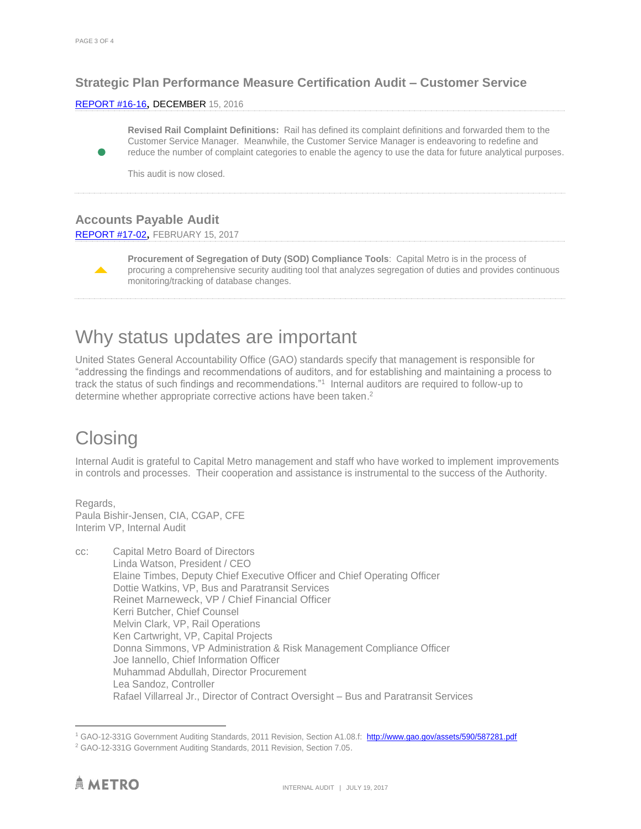$\bullet$ 

 $\blacktriangle$ 

## **Strategic Plan Performance Measure Certification Audit – Customer Service**

#### [REPORT #16-1](https://capmetro.sharepoint.com/sites/ADT/_layouts/15/guestaccess.aspx?guestaccesstoken=cJpWKdICjRQV83flXvw2%2fXI7Am%2fvhauHXryyzkRhuyc%3d&docid=2_1e27ee28683f043b790f7298b93ecbaf9&rev=1)6, DECEMBER 15, 2016

**Revised Rail Complaint Definitions:** Rail has defined its complaint definitions and forwarded them to the Customer Service Manager. Meanwhile, the Customer Service Manager is endeavoring to redefine and reduce the number of complaint categories to enable the agency to use the data for future analytical purposes.

This audit is now closed.

## **Accounts Payable Audit**

#### [REPORT #17-02](https://capmetro.sharepoint.com/sites/ADT/_layouts/15/DocIdRedir.aspx?ID=ADTD-590348996-1510), FEBRUARY 15, 2017

**Procurement of Segregation of Duty (SOD) Compliance Tools**: Capital Metro is in the process of procuring a comprehensive security auditing tool that analyzes segregation of duties and provides continuous monitoring/tracking of database changes.

## Why status updates are important

United States General Accountability Office (GAO) standards specify that management is responsible for "addressing the findings and recommendations of auditors, and for establishing and maintaining a process to track the status of such findings and recommendations."<sup>1</sup> Internal auditors are required to follow-up to determine whether appropriate corrective actions have been taken. 2

## **Closing**

Internal Audit is grateful to Capital Metro management and staff who have worked to implement improvements in controls and processes. Their cooperation and assistance is instrumental to the success of the Authority.

Regards, Paula Bishir-Jensen, CIA, CGAP, CFE Interim VP, Internal Audit

cc: Capital Metro Board of Directors Linda Watson, President / CEO Elaine Timbes, Deputy Chief Executive Officer and Chief Operating Officer Dottie Watkins, VP, Bus and Paratransit Services Reinet Marneweck, VP / Chief Financial Officer Kerri Butcher, Chief Counsel Melvin Clark, VP, Rail Operations Ken Cartwright, VP, Capital Projects Donna Simmons, VP Administration & Risk Management Compliance Officer Joe Iannello, Chief Information Officer Muhammad Abdullah, Director Procurement Lea Sandoz, Controller Rafael Villarreal Jr., Director of Contract Oversight – Bus and Paratransit Services

 $\overline{a}$ 

<sup>1</sup> GAO-12-331G Government Auditing Standards, 2011 Revision, Section A1.08.f: <http://www.gao.gov/assets/590/587281.pdf>

<sup>2</sup> GAO-12-331G Government Auditing Standards, 2011 Revision, Section 7.05.